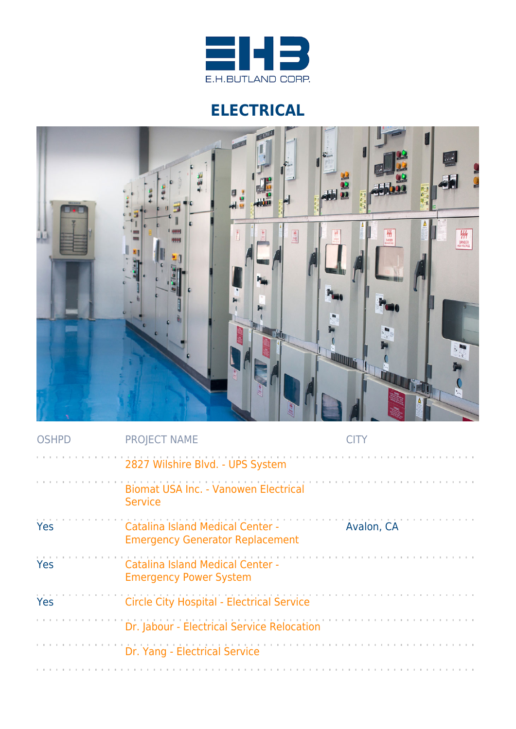

## **ELECTRICAL**



| <b>OSHPD</b> | <b>PROJECT NAME</b>                                                               |            |
|--------------|-----------------------------------------------------------------------------------|------------|
|              | 2827 Wilshire Blvd. - UPS System                                                  |            |
|              | Biomat USA Inc. - Vanowen Electrical<br><b>Service</b>                            |            |
| Yes          | <b>Catalina Island Medical Center -</b><br><b>Emergency Generator Replacement</b> | Avalon, CA |
| Yes          | <b>Catalina Island Medical Center -</b><br><b>Emergency Power System</b>          |            |
| Yes          | <b>Circle City Hospital - Electrical Service</b>                                  |            |
|              | Dr. Jabour - Electrical Service Relocation                                        |            |
|              | Dr. Yang - Electrical Service                                                     |            |
|              |                                                                                   |            |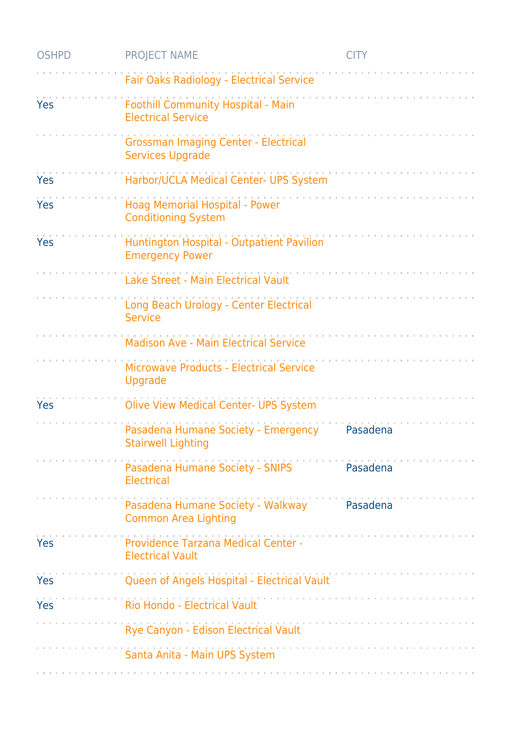| <b>OSHPD</b> | <b>PROJECT NAME</b>                                                    | <b>CITY</b> |
|--------------|------------------------------------------------------------------------|-------------|
|              | Fair Oaks Radiology - Electrical Service                               |             |
| Yes          | Foothill Community Hospital - Main<br><b>Electrical Service</b>        |             |
|              | <b>Grossman Imaging Center - Electrical</b><br><b>Services Upgrade</b> |             |
| Yes          | Harbor/UCLA Medical Center- UPS System                                 |             |
| Yes          | Hoag Memorial Hospital - Power<br><b>Conditioning System</b>           |             |
| Yes          | Huntington Hospital - Outpatient Pavilion<br><b>Emergency Power</b>    |             |
|              | Lake Street - Main Electrical Vault                                    |             |
|              | Long Beach Urology - Center Electrical<br><b>Service</b>               |             |
|              | <b>Madison Ave - Main Electrical Service</b>                           |             |
|              | Microwave Products - Electrical Service<br>Upgrade                     |             |
| Yes          | <b>Olive View Medical Center- UPS System</b>                           |             |
|              | Pasadena Humane Society - Emergency<br><b>Stairwell Lighting</b>       | Pasadena    |
|              | Pasadena Humane Society - SNIPS<br><b>Electrical</b>                   | Pasadena    |
|              | Pasadena Humane Society - Walkway<br><b>Common Area Lighting</b>       | Pasadena    |
| Yes          | Providence Tarzana Medical Center -<br><b>Electrical Vault</b>         |             |
| Yes          | Queen of Angels Hospital - Electrical Vault                            |             |
| <b>Yes</b>   | Rio Hondo - Electrical Vault                                           |             |
|              | Rye Canyon - Edison Electrical Vault                                   |             |
|              | Santa Anita - Main UPS System                                          |             |
|              |                                                                        |             |